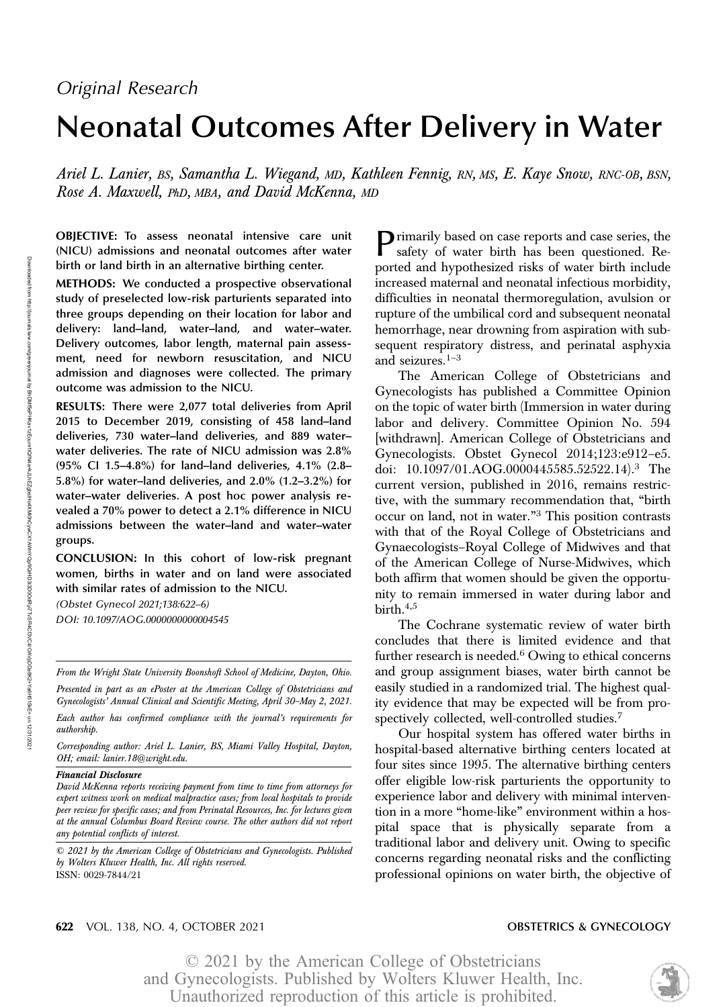# Neonatal Outcomes After Delivery in Water

Ariel L. Lanier, BS, Samantha L. Wiegand, MD, Kathleen Fennig, RN, MS, E. Kaye Snow, RNC-OB, BSN, Rose A. Maxwell, PhD, MBA, and David McKenna, MD

OBJECTIVE: To assess neonatal intensive care unit (NICU) admissions and neonatal outcomes after water birth or land birth in an alternative birthing center.

METHODS: We conducted a prospective observational study of preselected low-risk parturients separated into three groups depending on their location for labor and delivery: land–land, water–land, and water–water. Delivery outcomes, labor length, maternal pain assessment, need for newborn resuscitation, and NICU admission and diagnoses were collected. The primary outcome was admission to the NICU.

RESULTS: There were 2,077 total deliveries from April 2015 to December 2019, consisting of 458 land–land deliveries, 730 water–land deliveries, and 889 water– water deliveries. The rate of NICU admission was 2.8% (95% CI 1.5–4.8%) for land–land deliveries, 4.1% (2.8– 5.8%) for water–land deliveries, and 2.0% (1.2–3.2%) for water–water deliveries. A post hoc power analysis revealed a 70% power to detect a 2.1% difference in NICU admissions between the water–land and water–water groups.

CONCLUSION: In this cohort of low-risk pregnant women, births in water and on land were associated with similar rates of admission to the NICU.

(Obstet Gynecol 2021;138:622–6) DOI: 10.1097/AOG.0000000000004545

From the Wright State University Boonshoft School of Medicine, Dayton, Ohio.

Presented in part as an ePoster at the American College of Obstetricians and Gynecologists' Annual Clinical and Scientific Meeting, April 30–May 2, 2021.

Each author has confirmed compliance with the journal's requirements for authorship.

Corresponding author: Ariel L. Lanier, BS, Miami Valley Hospital, Dayton, OH; email: [lanier.18@wright.edu.](mailto:lanier.18@wright.edu)

### Financial Disclosure

David McKenna reports receiving payment from time to time from attorneys for expert witness work on medical malpractice cases; from local hospitals to provide peer review for specific cases; and from Perinatal Resources, Inc. for lectures given at the annual Columbus Board Review course. The other authors did not report any potential conflicts of interest.

© 2021 by the American College of Obstetricians and Gynecologists. Published by Wolters Kluwer Health, Inc. All rights reserved. ISSN: 0029-7844/21

Primarily based on case reports and case series, the safety of water birth has been questioned. Reported and hypothesized risks of water birth include increased maternal and neonatal infectious morbidity, difficulties in neonatal thermoregulation, avulsion or rupture of the umbilical cord and subsequent neonatal hemorrhage, near drowning from aspiration with subsequent respiratory distress, and perinatal asphyxia and seizures.<sup>1-3</sup>

The American College of Obstetricians and Gynecologists has published a Committee Opinion on the topic of water birth (Immersion in water during labor and delivery. Committee Opinion No. 594 [withdrawn]. American College of Obstetricians and Gynecologists. Obstet Gynecol 2014;123:e912–e5. doi: 10.1097/01.AOG.0000445585.52522.14).<sup>3</sup> The current version, published in 2016, remains restrictive, with the summary recommendation that, "birth occur on land, not in water."<sup>3</sup> This position contrasts with that of the Royal College of Obstetricians and Gynaecologists–Royal College of Midwives and that of the American College of Nurse-Midwives, which both affirm that women should be given the opportunity to remain immersed in water during labor and birth.4,5

The Cochrane systematic review of water birth concludes that there is limited evidence and that further research is needed. $6$  Owing to ethical concerns and group assignment biases, water birth cannot be easily studied in a randomized trial. The highest quality evidence that may be expected will be from prospectively collected, well-controlled studies.7

Our hospital system has offered water births in hospital-based alternative birthing centers located at four sites since 1995. The alternative birthing centers offer eligible low-risk parturients the opportunity to experience labor and delivery with minimal intervention in a more "home-like" environment within a hospital space that is physically separate from a traditional labor and delivery unit. Owing to specific concerns regarding neonatal risks and the conflicting professional opinions on water birth, the objective of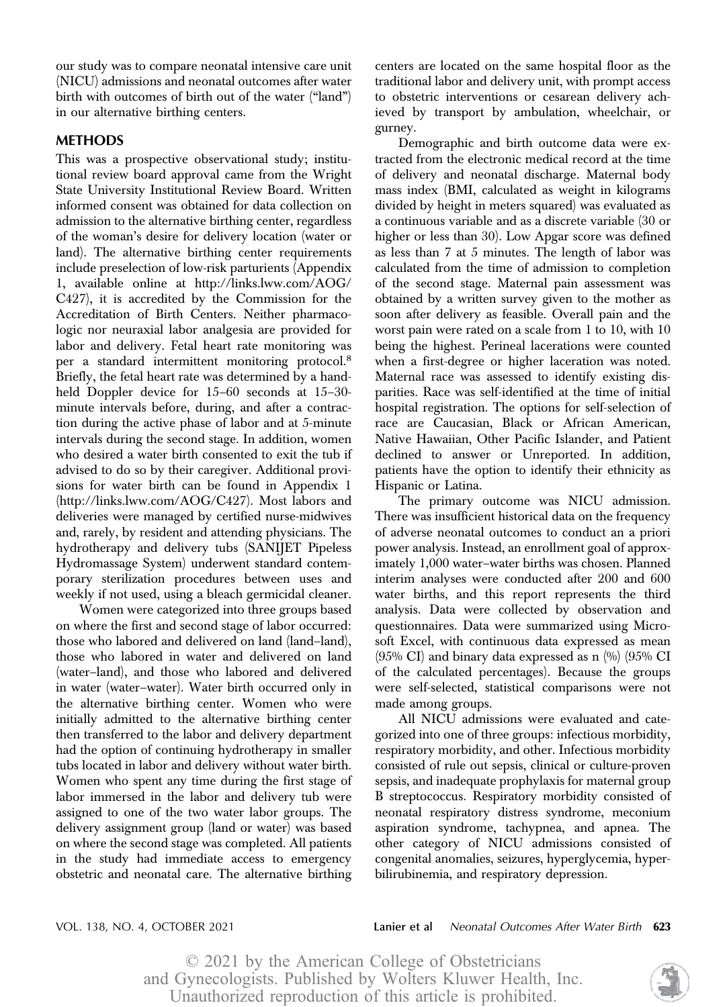our study was to compare neonatal intensive care unit (NICU) admissions and neonatal outcomes after water birth with outcomes of birth out of the water ("land") in our alternative birthing centers.

# METHODS

This was a prospective observational study; institutional review board approval came from the Wright State University Institutional Review Board. Written informed consent was obtained for data collection on admission to the alternative birthing center, regardless of the woman's desire for delivery location (water or land). The alternative birthing center requirements include preselection of low-risk parturients (Appendix 1, available online at [http://links.lww.com/AOG/](http://links.lww.com/AOG/C427) [C427\)](http://links.lww.com/AOG/C427), it is accredited by the Commission for the Accreditation of Birth Centers. Neither pharmacologic nor neuraxial labor analgesia are provided for labor and delivery. Fetal heart rate monitoring was per a standard intermittent monitoring protocol.<sup>8</sup> Briefly, the fetal heart rate was determined by a handheld Doppler device for 15–60 seconds at 15–30 minute intervals before, during, and after a contraction during the active phase of labor and at 5-minute intervals during the second stage. In addition, women who desired a water birth consented to exit the tub if advised to do so by their caregiver. Additional provisions for water birth can be found in Appendix 1 (<http://links.lww.com/AOG/C427>). Most labors and deliveries were managed by certified nurse-midwives and, rarely, by resident and attending physicians. The hydrotherapy and delivery tubs (SANIJET Pipeless Hydromassage System) underwent standard contemporary sterilization procedures between uses and weekly if not used, using a bleach germicidal cleaner.

Women were categorized into three groups based on where the first and second stage of labor occurred: those who labored and delivered on land (land–land), those who labored in water and delivered on land (water–land), and those who labored and delivered in water (water–water). Water birth occurred only in the alternative birthing center. Women who were initially admitted to the alternative birthing center then transferred to the labor and delivery department had the option of continuing hydrotherapy in smaller tubs located in labor and delivery without water birth. Women who spent any time during the first stage of labor immersed in the labor and delivery tub were assigned to one of the two water labor groups. The delivery assignment group (land or water) was based on where the second stage was completed. All patients in the study had immediate access to emergency obstetric and neonatal care. The alternative birthing

centers are located on the same hospital floor as the traditional labor and delivery unit, with prompt access to obstetric interventions or cesarean delivery achieved by transport by ambulation, wheelchair, or gurney.

Demographic and birth outcome data were extracted from the electronic medical record at the time of delivery and neonatal discharge. Maternal body mass index (BMI, calculated as weight in kilograms divided by height in meters squared) was evaluated as a continuous variable and as a discrete variable (30 or higher or less than 30). Low Apgar score was defined as less than 7 at 5 minutes. The length of labor was calculated from the time of admission to completion of the second stage. Maternal pain assessment was obtained by a written survey given to the mother as soon after delivery as feasible. Overall pain and the worst pain were rated on a scale from 1 to 10, with 10 being the highest. Perineal lacerations were counted when a first-degree or higher laceration was noted. Maternal race was assessed to identify existing disparities. Race was self-identified at the time of initial hospital registration. The options for self-selection of race are Caucasian, Black or African American, Native Hawaiian, Other Pacific Islander, and Patient declined to answer or Unreported. In addition, patients have the option to identify their ethnicity as Hispanic or Latina.

The primary outcome was NICU admission. There was insufficient historical data on the frequency of adverse neonatal outcomes to conduct an a priori power analysis. Instead, an enrollment goal of approximately 1,000 water–water births was chosen. Planned interim analyses were conducted after 200 and 600 water births, and this report represents the third analysis. Data were collected by observation and questionnaires. Data were summarized using Microsoft Excel, with continuous data expressed as mean  $(95\% \text{ CI})$  and binary data expressed as n  $(\%)$   $(95\% \text{ CI})$ of the calculated percentages). Because the groups were self-selected, statistical comparisons were not made among groups.

All NICU admissions were evaluated and categorized into one of three groups: infectious morbidity, respiratory morbidity, and other. Infectious morbidity consisted of rule out sepsis, clinical or culture-proven sepsis, and inadequate prophylaxis for maternal group B streptococcus. Respiratory morbidity consisted of neonatal respiratory distress syndrome, meconium aspiration syndrome, tachypnea, and apnea. The other category of NICU admissions consisted of congenital anomalies, seizures, hyperglycemia, hyperbilirubinemia, and respiratory depression.

VOL. 138, NO. 4, OCTOBER 2021 **Lanier et al** Neonatal Outcomes After Water Birth 623

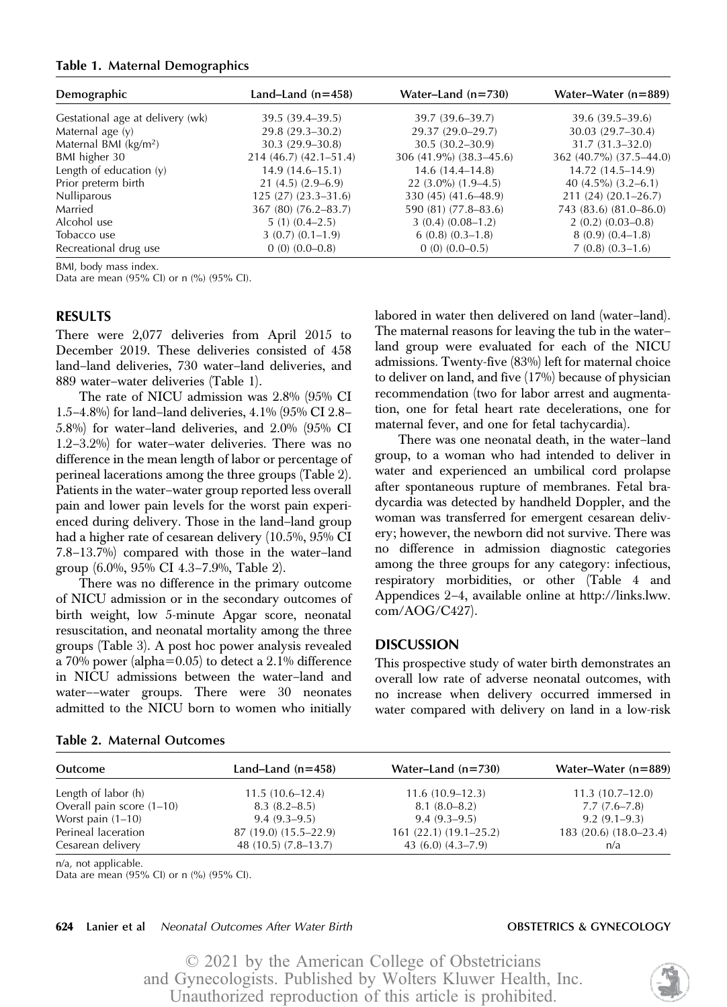### Table 1. Maternal Demographics

| Demographic                       | Land–Land $(n=458)$    | Water-Land $(n=730)$    | Water-Water $(n=889)$    |
|-----------------------------------|------------------------|-------------------------|--------------------------|
| Gestational age at delivery (wk)  | $39.5(39.4 - 39.5)$    | 39.7 (39.6–39.7)        | 39.6 (39.5–39.6)         |
| Maternal age (y)                  | $29.8(29.3-30.2)$      | 29.37 (29.0–29.7)       | $30.03(29.7-30.4)$       |
| Maternal BMI (kg/m <sup>2</sup> ) | $30.3(29.9-30.8)$      | $30.5(30.2 - 30.9)$     | $31.7(31.3 - 32.0)$      |
| BMI higher 30                     | $214(46.7)(42.1-51.4)$ | 306 (41.9%) (38.3–45.6) | 362 (40.7%) (37.5-44.0)  |
| Length of education $(y)$         | $14.9(14.6-15.1)$      | $14.6(14.4 - 14.8)$     | $14.72(14.5 - 14.9)$     |
| Prior preterm birth               | $21(4.5)(2.9-6.9)$     | $22(3.0\%) (1.9-4.5)$   | 40 $(4.5\%)$ $(3.2-6.1)$ |
| <b>Nulliparous</b>                | $125(27)(23.3-31.6)$   | 330 (45) (41.6–48.9)    | $211(24)(20.1 - 26.7)$   |
| Married                           | 367 (80) (76.2–83.7)   | 590 (81) (77.8–83.6)    | 743 (83.6) (81.0–86.0)   |
| Alcohol use                       | $5(1)(0.4-2.5)$        | $3(0.4)(0.08-1.2)$      | $2(0.2)(0.03-0.8)$       |
| Tobacco use                       | $3(0.7)(0.1-1.9)$      | $6(0.8)(0.3-1.8)$       | $8(0.9)(0.4-1.8)$        |
| Recreational drug use             | $0(0)(0.0-0.8)$        | $0(0)(0.0-0.5)$         | $7(0.8)(0.3-1.6)$        |

BMI, body mass index.

Data are mean (95% CI) or n (%) (95% CI).

# RESULTS

There were 2,077 deliveries from April 2015 to December 2019. These deliveries consisted of 458 land–land deliveries, 730 water–land deliveries, and 889 water–water deliveries (Table 1).

The rate of NICU admission was 2.8% (95% CI 1.5–4.8%) for land–land deliveries, 4.1% (95% CI 2.8– 5.8%) for water–land deliveries, and 2.0% (95% CI 1.2–3.2%) for water–water deliveries. There was no difference in the mean length of labor or percentage of perineal lacerations among the three groups (Table 2). Patients in the water–water group reported less overall pain and lower pain levels for the worst pain experienced during delivery. Those in the land–land group had a higher rate of cesarean delivery (10.5%, 95% CI 7.8–13.7%) compared with those in the water–land group (6.0%, 95% CI 4.3–7.9%, Table 2).

There was no difference in the primary outcome of NICU admission or in the secondary outcomes of birth weight, low 5-minute Apgar score, neonatal resuscitation, and neonatal mortality among the three groups (Table 3). A post hoc power analysis revealed a 70% power (alpha=0.05) to detect a 2.1% difference in NICU admissions between the water–land and water––water groups. There were 30 neonates admitted to the NICU born to women who initially

There was one neonatal death, in the water–land group, to a woman who had intended to deliver in water and experienced an umbilical cord prolapse after spontaneous rupture of membranes. Fetal bradycardia was detected by handheld Doppler, and the woman was transferred for emergent cesarean delivery; however, the newborn did not survive. There was no difference in admission diagnostic categories among the three groups for any category: infectious, respiratory morbidities, or other (Table 4 and Appendices 2–4, available online at [http://links.lww.](http://links.lww.com/AOG/C427) [com/AOG/C427](http://links.lww.com/AOG/C427)).

## **DISCUSSION**

This prospective study of water birth demonstrates an overall low rate of adverse neonatal outcomes, with no increase when delivery occurred immersed in water compared with delivery on land in a low-risk

| Outcome                   | Land–Land $(n=458)$   | Water-Land $(n=730)$   | Water-Water $(n=889)$  |
|---------------------------|-----------------------|------------------------|------------------------|
| Length of labor (h)       | $11.5(10.6-12.4)$     | $11.6(10.9-12.3)$      | $11.3(10.7-12.0)$      |
| Overall pain score (1-10) | $8.3(8.2 - 8.5)$      | $8.1(8.0-8.2)$         | $7.7(7.6 - 7.8)$       |
| Worst pain $(1-10)$       | $9.4(9.3-9.5)$        | $9.4(9.3-9.5)$         | $9.2(9.1-9.3)$         |
| Perineal laceration       | 87 (19.0) (15.5–22.9) | $161(22.1)(19.1-25.2)$ | 183 (20.6) (18.0–23.4) |
| Cesarean delivery         | 48 (10.5) (7.8–13.7)  | 43 $(6.0)$ $(4.3-7.9)$ | n/a                    |

n/a, not applicable.

Data are mean (95% CI) or n (%) (95% CI).

Table 2. Maternal Outcomes

### 624 Lanier et al Neonatal Outcomes After Water Birth **CHALL CONSTETRICS & GYNECOLOGY**

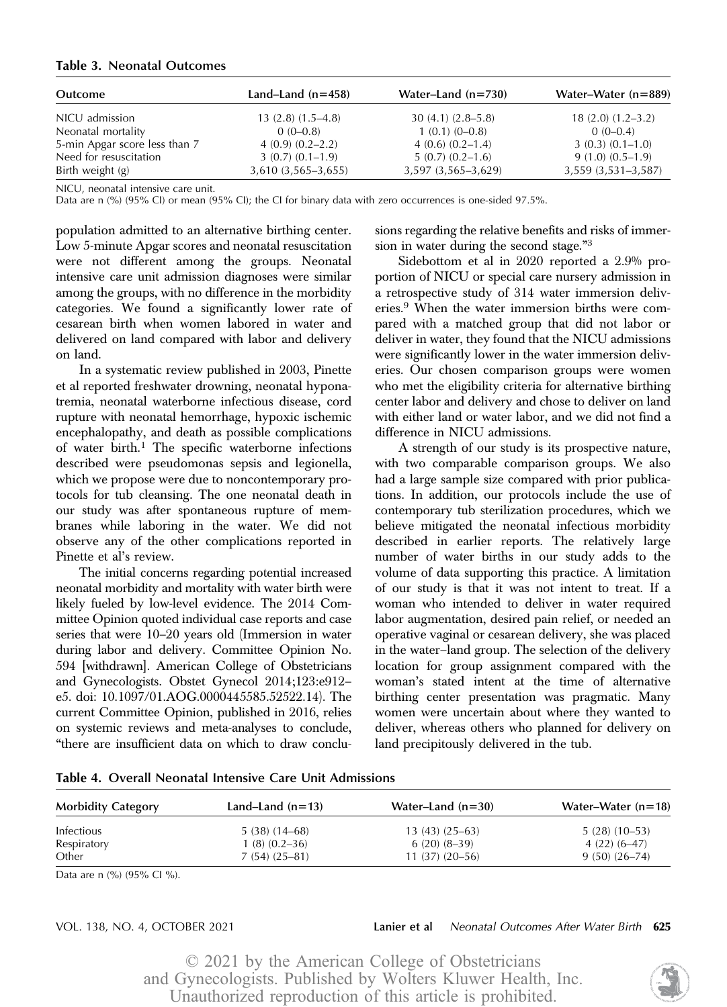# Table 3. Neonatal Outcomes

| Outcome                       | Land–Land $(n=458)$  | Water-Land $(n=730)$ | Water-Water $(n=889)$   |
|-------------------------------|----------------------|----------------------|-------------------------|
| NICU admission                | $13(2.8)(1.5-4.8)$   | $30(4.1)(2.8-5.8)$   | $18(2.0) (1.2 - 3.2)$   |
| Neonatal mortality            | $0(0-0.8)$           | $1(0.1)(0-0.8)$      | $0(0-0.4)$              |
| 5-min Apgar score less than 7 | $4(0.9)(0.2-2.2)$    | $4(0.6)(0.2-1.4)$    | $3(0.3)(0.1-1.0)$       |
| Need for resuscitation        | $3(0.7)(0.1-1.9)$    | $5(0.7)(0.2-1.6)$    | $9(1.0)(0.5-1.9)$       |
| Birth weight (g)              | $3,610(3,565-3,655)$ | 3,597 (3,565-3,629)  | $3,559$ $(3,531-3,587)$ |

NICU, neonatal intensive care unit.

Data are n (%) (95% CI) or mean (95% CI); the CI for binary data with zero occurrences is one-sided 97.5%.

population admitted to an alternative birthing center. Low 5-minute Apgar scores and neonatal resuscitation were not different among the groups. Neonatal intensive care unit admission diagnoses were similar among the groups, with no difference in the morbidity categories. We found a significantly lower rate of cesarean birth when women labored in water and delivered on land compared with labor and delivery on land.

In a systematic review published in 2003, Pinette et al reported freshwater drowning, neonatal hyponatremia, neonatal waterborne infectious disease, cord rupture with neonatal hemorrhage, hypoxic ischemic encephalopathy, and death as possible complications of water birth.<sup>1</sup> The specific waterborne infections described were pseudomonas sepsis and legionella, which we propose were due to noncontemporary protocols for tub cleansing. The one neonatal death in our study was after spontaneous rupture of membranes while laboring in the water. We did not observe any of the other complications reported in Pinette et al's review.

The initial concerns regarding potential increased neonatal morbidity and mortality with water birth were likely fueled by low-level evidence. The 2014 Committee Opinion quoted individual case reports and case series that were 10–20 years old (Immersion in water during labor and delivery. Committee Opinion No. 594 [withdrawn]. American College of Obstetricians and Gynecologists. Obstet Gynecol 2014;123:e912– e5. doi: 10.1097/01.AOG.0000445585.52522.14). The current Committee Opinion, published in 2016, relies on systemic reviews and meta-analyses to conclude, "there are insufficient data on which to draw conclusions regarding the relative benefits and risks of immersion in water during the second stage."<sup>3</sup>

Sidebottom et al in 2020 reported a 2.9% proportion of NICU or special care nursery admission in a retrospective study of 314 water immersion deliveries.9 When the water immersion births were compared with a matched group that did not labor or deliver in water, they found that the NICU admissions were significantly lower in the water immersion deliveries. Our chosen comparison groups were women who met the eligibility criteria for alternative birthing center labor and delivery and chose to deliver on land with either land or water labor, and we did not find a difference in NICU admissions.

A strength of our study is its prospective nature, with two comparable comparison groups. We also had a large sample size compared with prior publications. In addition, our protocols include the use of contemporary tub sterilization procedures, which we believe mitigated the neonatal infectious morbidity described in earlier reports. The relatively large number of water births in our study adds to the volume of data supporting this practice. A limitation of our study is that it was not intent to treat. If a woman who intended to deliver in water required labor augmentation, desired pain relief, or needed an operative vaginal or cesarean delivery, she was placed in the water–land group. The selection of the delivery location for group assignment compared with the woman's stated intent at the time of alternative birthing center presentation was pragmatic. Many women were uncertain about where they wanted to deliver, whereas others who planned for delivery on land precipitously delivered in the tub.

| <b>Morbidity Category</b> | Land–Land $(n=13)$ | Water-Land $(n=30)$ | Water–Water $(n=18)$ |
|---------------------------|--------------------|---------------------|----------------------|
| Infectious                | 5 (38) (14–68)     | $13(43)(25-63)$     | $5(28)(10-53)$       |
| Respiratory               | $1(8)(0.2-36)$     | $6(20)(8-39)$       | $4(22)(6-47)$        |
| Other                     | $7(54)(25-81)$     | $11(37)(20-56)$     | $9(50)(26-74)$       |

Table 4. Overall Neonatal Intensive Care Unit Admissions

Data are n (%) (95% Cl %).

## VOL. 138, NO. 4, OCTOBER 2021 **Lanier et al** Neonatal Outcomes After Water Birth 625